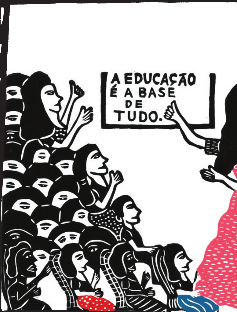

I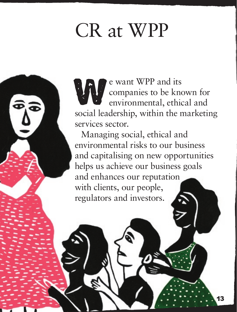# CR at WPP

e want WPP and its<br>companies to be known companies to be known for environmental, ethical and social leadership, within the marketing services sector.

Managing social, ethical and environmental risks to our business and capitalising on new opportunities helps us achieve our business goals and enhances our reputation with clients, our people, regulators and investors.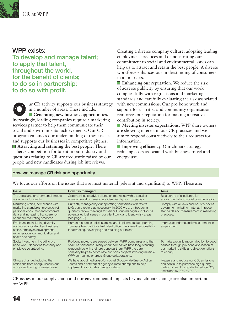

### WPP exists:

To develop and manage talent; to apply that talent, throughout the world, for the benefit of clients; to do so in partnership; to do so with profit.

The CR activity supports our business strategy<br> **Generating new business opportunities.**<br> **Generating new business opportunities.** in a number of areas. These include: Increasingly, leading companies require a marketing services partner to help them communicate their social and environmental achievements. Our CR program enhances our understanding of these issues and supports our businesses in competitive pitches. **Attracting and retaining the best people.** There is fierce competition for talent in our industry and questions relating to CR are frequently raised by our people and new candidates during job interviews.

Creating a diverse company culture, adopting leading employment practices and demonstrating our commitment to social and environmental issues can help us to attract and retain the best people. A diverse workforce enhances our understanding of consumers in all markets.

**Enhancing our reputation.** We reduce the risk of adverse publicity by ensuring that our work complies fully with regulations and marketing standards and carefully evaluating the risk associated with new commissions. Our pro bono work and support for charities and community organisations reinforces our reputation for making a positive contribution in society.

■ Meeting investor expectations. WPP share owners are showing interest in our CR practices and we aim to respond constructively to their requests for information.

**Improving efficiency.** Our climate strategy is reducing costs associated with business travel and energy use.

#### How we manage CR risk and opportunity

We focus our efforts on the issues that are most material (relevant and significant) to WPP. These are:

| <b>Issue</b>                                                                                                                                                                      | How it is managed                                                                                                                                                                                                                                                                                             | Aims                                                                                                                                                                           |
|-----------------------------------------------------------------------------------------------------------------------------------------------------------------------------------|---------------------------------------------------------------------------------------------------------------------------------------------------------------------------------------------------------------------------------------------------------------------------------------------------------------|--------------------------------------------------------------------------------------------------------------------------------------------------------------------------------|
| The social and environmental impact<br>of our work for clients.                                                                                                                   | Opportunities to advise clients on marketing with a social or<br>environmental dimension are identified by our companies.                                                                                                                                                                                     | Be a centre of excellence for<br>environmental and social communication.                                                                                                       |
| Marketing ethics, compliance with<br>marketing standards, protection of<br>personal, consumer and corporate<br>data and increasing transparency<br>about our marketing practices. | Currently managed by our operating companies with referral<br>to Group directors as necessary. In 2009 we are introducing<br>quarterly review meetings for senior Group managers to discuss<br>potential ethical issues in our client work and identify risk areas<br>(see page 38).                          | Comply with all laws and industry codes<br>governing marketing material. Improve<br>standards and measurement in marketing<br>practices.                                       |
| Employment, including diversity<br>and equal opportunities, business<br>ethics, employee development,<br>remuneration, communication and<br>health and safety.                    | Human resources policies are set and implemented at operating<br>company level. WPP's chief talent officer has overall responsibility<br>for attracting, developing and retaining our talent.                                                                                                                 | Improve standards and measurement in<br>employment.                                                                                                                            |
| Social investment, including pro<br>bono work, donations to charity and<br>employee volunteering.                                                                                 | Pro bono projects are agreed between WPP companies and the<br>charities concerned. Many of our companies have long-standing<br>relationships with their pro bono partners. WPP the parent<br>company helps to coordinate pro bono projects involving multiple<br>WPP companies or cross-Group collaborations. | To make a significant contribution to good<br>causes through pro bono application of<br>our marketing skills and direct donations<br>to charity.                               |
| Climate change, including the<br>emissions from energy used in our<br>offices and during business travel.                                                                         | We have appointed cross-functional Group-wide Energy Action<br>Teams and a network of agency climate champions to help<br>implement our climate change strategy.                                                                                                                                              | Measure and reduce our CO <sub>2</sub> emissions<br>and continue to purchase high quality<br>carbon offset. Our goal is to reduce CO <sub>2</sub><br>emissions by 20% by 2010. |

CR issues in our supply chain and our environmental impacts beyond climate change are also important for WPP.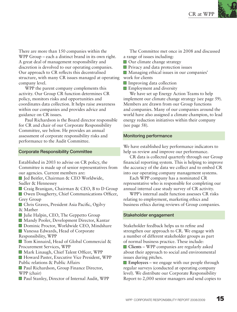There are more than 150 companies within the WPP Group – each a distinct brand in its own right. A great deal of management responsibility and discretion is devolved to our operating companies. Our approach to CR reflects this decentralised structure, with many CR issues managed at operating company level.

WPP the parent company complements this activity. Our Group CR function determines CR policy, monitors risks and opportunities and coordinates data collection. It helps raise awareness within our companies and provides advice and guidance on CR issues.

Paul Richardson is the Board director responsible for CR and chair of our Corporate Responsibility Committee, see below. He provides an annual assessment of corporate responsibility risks and performance to the Audit Committee.

#### Corporate Responsibility Committee

Established in 2003 to advise on CR policy, the Committee is made up of senior representatives from our agencies. Current members are:

■ Jed Beitler, Chairman & CEO Worldwide, Sudler & Hennessey

Craig Branigan, Chairman & CEO, B to D Group

■ Owen Dougherty, Chief Communications Officer, Grey Group

Chris Graves, President Asia Pacific, Ogilvy & Mather

- Julie Halpin, CEO, The Geppetto Group
- Mandy Pooler, Development Director, Kantar
- Dominic Proctor, Worldwide CEO, Mindshare

■ Vanessa Edwards, Head of Corporate Responsibility, WPP

■ Tom Kinnaird, Head of Global Commercial & Procurement Services, WPP

Mark Linaugh, Chief Talent Officer, WPP

Howard Paster, Executive Vice President, WPP Public relations & Public Affairs

■ Paul Richardson, Group Finance Director, WPP (chair)

■ Paul Stanley, Director of Internal Audit, WPP

The Committee met once in 2008 and discussed a range of issues including:

■ Our climate change strategy

**Privacy and data protection issues** 

Managing ethical issues in our companies'

- work for clients
- **Improving data collection**

**Employment and diversity** 

We have set up Energy Action Teams to help implement our climate change strategy (see page 59). Members are drawn from our Group functions and companies. Many of our companies around the world have also assigned a climate champion, to lead energy reduction initiatives within their company (see page 58).

#### Monitoring performance

We have established key performance indicators to help us review and improve our performance.

CR data is collected quarterly through our Group financial reporting system. This is helping to improve the accuracy of the data we collect and to embed CR into our operating company management systems.

Each WPP company has a nominated CR representative who is responsible for completing our annual internal case study survey of CR activity.

WPP's internal audit function assesses CR risks relating to employment, marketing ethics and business ethics during reviews of Group companies.

#### Stakeholder engagement

Stakeholder feedback helps us to refine and strengthen our approach to CR. We engage with a number of different stakeholder groups as part of normal business practice. These include: **Clients** – WPP companies are regularly asked about their approach to social and environmental issues during pitches.

**Employees** – we engage with our people through regular surveys (conducted at operating company level). We distribute our Corporate Responsibility Report to 2,000 senior managers and send copies to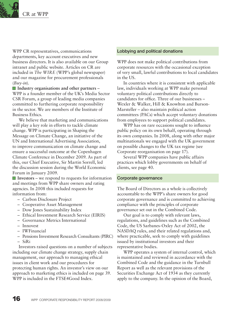

WPP CR representatives, communications departments, key account executives and new business directors. It is also available on our Group intranet and public website. Articles on CR are included in *The WIRE* (WPP's global newspaper) and our magazine for procurement professionals (*Buy-in*).

**Industry organisations and other partners** – WPP is a founder member of the UK's Media Sector CSR Forum, a group of leading media companies committed to furthering corporate responsibility in the sector. We are members of the Institute of Business Ethics.

We believe that marketing and communications will play a key role in efforts to tackle climate change. WPP is participating in Shaping the Message on Climate Change, an initiative of the UN and International Advertising Association, to improve communication on climate change and ensure a successful outcome at the Copenhagen Climate Conference in December 2009. As part of this, our Chief Executive, Sir Martin Sorrell, led the discussion session during the World Economic Forum in January 2009.

**Investors** – we respond to requests for information and meetings from WPP share owners and rating agencies. In 2008 this included requests for information from:

- Carbon Disclosure Project
- Cooperative Asset Management
- Dow Jones Sustainability Index
- Ethical Investment Research Service (EIRIS)
- Governance Metrics International
- Innovest
- IWFinancial
- Pensions Investment Research Consultants (PIRC) – SiRi

Investors raised questions on a number of subjects including our climate change strategy, supply chain management, our approach to managing ethical issues in client work and our procedures for protecting human rights. An investor's view on our approach to marketing ethics is included on page 39. WPP is included in the FTSE4Good Index.

#### Lobbying and political donations

WPP does not make political contributions from corporate resources with the occasional exception of very small, lawful contributions to local candidates in the US.

In countries where it is consistent with applicable law, individuals working at WPP make personal voluntary political contributions directly to candidates for office. Three of our businesses – Wexler & Walker, Hill & Knowlton and Burson-Marsteller – also maintain political action committees (PACs) which accept voluntary donations from employees to support political candidates.

WPP has on rare occasions sought to influence public policy on its own behalf, operating through its own companies. In 2008, along with other major multinationals we engaged with the UK government on possible changes to the UK tax regime (see Corporate reorganisation on page 17).

Several WPP companies have public affairs practices which lobby governments on behalf of clients, see page 40.

#### Corporate governance

The Board of Directors as a whole is collectively accountable to the WPP's share owners for good corporate governance and is committed to achieving compliance with the principles of corporate governance set out in the Combined Code.

Our goal is to comply with relevant laws, regulations, and guidelines such as the Combined Code, the US Sarbanes-Oxley Act of 2002, the NASDAQ rules, and their related regulations and, where practicable, seek to comply with guidelines issued by institutional investors and their representative bodies.

WPP operates a system of internal control, which is maintained and reviewed in accordance with the Combined Code and the guidance in the Turnbull Report as well as the relevant provisions of the Securities Exchange Act of 1934 as they currently apply to the company. In the opinion of the Board,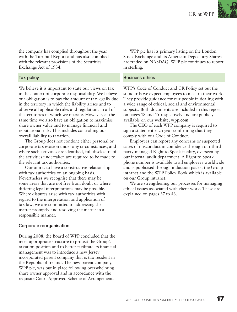the company has complied throughout the year with the Turnbull Report and has also complied with the relevant provisions of the Securities Exchange Act of 1934.

#### Tax policy

We believe it is important to state our views on tax in the context of corporate responsibility. We believe our obligation is to pay the amount of tax legally due in the territory in which the liability arises and to observe all applicable rules and regulations in all of the territories in which we operate. However, at the same time we also have an obligation to maximise share owner value and to manage financial and reputational risk. This includes controlling our overall liability to taxation.

The Group does not condone either personal or corporate tax evasion under any circumstances, and where such activities are identified, full disclosure of the activities undertaken are required to be made to the relevant tax authorities.

Our aim is to have a constructive relationship with tax authorities on an ongoing basis. Nevertheless we recognise that there may be some areas that are not free from doubt or where differing legal interpretations may be possible. Where disputes arise with tax authorities with regard to the interpretation and application of tax law, we are committed to addressing the matter promptly and resolving the matter in a responsible manner.

#### Corporate reorganisation

During 2008, the Board of WPP concluded that the most appropriate structure to protect the Group's taxation position and to better facilitate its financial management was to introduce a new Jersey incorporated parent company that is tax resident in the Republic of Ireland. The new parent company, WPP plc, was put in place following overwhelming share owner approval and in accordance with the requisite Court Approved Scheme of Arrangement.

WPP plc has its primary listing on the London Stock Exchange and its American Depositary Shares are traded on NASDAQ. WPP plc continues to report in sterling.

#### Business ethics

WPP's Code of Conduct and CR Policy set out the standards we expect employees to meet in their work. They provide guidance for our people in dealing with a wide range of ethical, social and environmental subjects. Both documents are included in this report on pages 18 and 19 respectively and are publicly available on our website, **wpp.com**.

The CEO of each WPP company is required to sign a statement each year confirming that they comply with our Code of Conduct.

Employees can report any concerns or suspected cases of misconduct in confidence through our third party-managed Right to Speak facility, overseen by our internal audit department. A Right to Speak phone number is available to all employees worldwide and is publicised through induction packs, the Group intranet and the WPP Policy Book which is available on our Group intranet.

We are strengthening our processes for managing ethical issues associated with client work. These are explained on pages 37 to 43.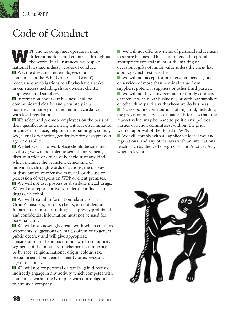

## Code of Conduct

PP and its companies operate in many<br>different markets and countries through<br>the world. In all instances, we respect different markets and countries throughout the world. In all instances, we respect national laws and industry codes of conduct. ■ We, the directors and employees of all companies in the WPP Group ('the Group'), recognise our obligations to all who have a stake in our success including share owners, clients, employees, and suppliers.

■ Information about our business shall be communicated clearly, and accurately in a non-discriminatory manner and in accordance with local regulations.

We select and promote employees on the basis of their qualifications and merit, without discrimination or concern for race, religion, national origin, colour, sex, sexual orientation, gender identity or expression, age or disability.

■ We believe that a workplace should be safe and civilised; we will not tolerate sexual harassment, discrimination or offensive behaviour of any kind, which includes the persistent demeaning of individuals through words or actions, the display or distribution of offensive material, or the use or possession of weapons on WPP or client premises. We will not use, possess or distribute illegal drugs. We will not report for work under the influence of drugs or alcohol.

We will treat all information relating to the Group's business, or to its clients, as confidential. In particular, 'insider trading' is expressly prohibited and confidential information must not be used for personal gain.

 $\blacksquare$  We will not knowingly create work which contains statements, suggestions or images offensive to general public decency and will give appropriate consideration to the impact of our work on minority segments of the population, whether that minority be by race, religion, national origin, colour, sex, sexual orientation, gender identity or expression, age or disability.

We will not for personal or family gain directly or indirectly engage in any activity which competes with companies within the Group or with our obligations to any such company.

■ We will not offer any items of personal inducement to secure business. This is not intended to prohibit appropriate entertainment or the making of occasional gifts of minor value unless the client has a policy which restricts this.

■ We will not accept for our personal benefit goods or services of more than nominal value from suppliers, potential suppliers or other third parties.

We will not have any personal or family conflicts of interest within our businesses or with our suppliers or other third parties with whom we do business.

 $\blacksquare$  No corporate contributions of any kind, including the provision of services or materials for less than the market value, may be made to politicians, political parties or action committees, without the prior written approval of the Board of WPP.

We will comply with all applicable local laws and regulations, and any other laws with an international reach, such as the US Foreign Corrupt Practices Act, where relevant.